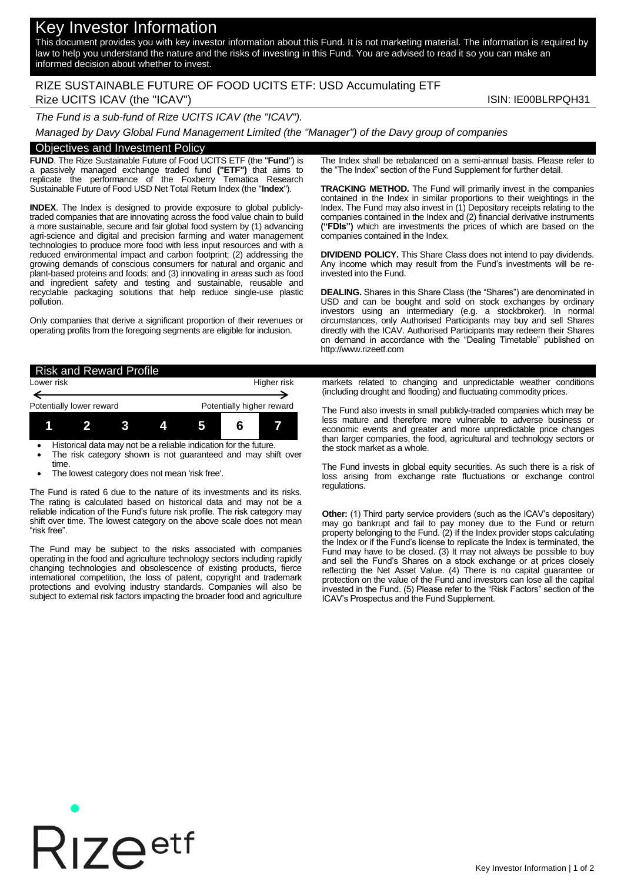# Key Investor Information

This document provides you with key investor information about this Fund. It is not marketing material. The information is required by law to help you understand the nature and the risks of investing in this Fund. You are advised to read it so you can make an informed decision about whether to invest.

## RIZE SUSTAINABLE FUTURE OF FOOD UCITS ETF: USD Accumulating ETF Rize UCITS ICAV (the "ICAV") ISIN: IE00BLRPQH31

*The Fund is a sub-fund of Rize UCITS ICAV (the "ICAV").*

*Managed by Davy Global Fund Management Limited (the "Manager") of the Davy group of companies*

#### Objectives and Investment Policy

**FUND**. The Rize Sustainable Future of Food UCITS ETF (the "**Fund**") is a passively managed exchange traded fund **("ETF")** that aims to replicate the performance of the Foxberry Tematica Research Sustainable Future of Food USD Net Total Return Index (the "**Index**").

**INDEX**. The Index is designed to provide exposure to global publiclytraded companies that are innovating across the food value chain to build a more sustainable, secure and fair global food system by (1) advancing agri-science and digital and precision farming and water management technologies to produce more food with less input resources and with a reduced environmental impact and carbon footprint; (2) addressing the growing demands of conscious consumers for natural and organic and plant-based proteins and foods; and (3) innovating in areas such as food and ingredient safety and testing and sustainable, reusable and recyclable packaging solutions that help reduce single-use plastic pollution.

Only companies that derive a significant proportion of their revenues or operating profits from the foregoing segments are eligible for inclusion.

The Index shall be rebalanced on a semi-annual basis. Please refer to the "The Index" section of the Fund Supplement for further detail.

**TRACKING METHOD.** The Fund will primarily invest in the companies contained in the Index in similar proportions to their weightings in the Index. The Fund may also invest in (1) Depositary receipts relating to the companies contained in the Index and (2) financial derivative instruments **("FDIs")** which are investments the prices of which are based on the companies contained in the Index.

**DIVIDEND POLICY.** This Share Class does not intend to pay dividends. Any income which may result from the Fund's investments will be reinvested into the Fund.

**DEALING.** Shares in this Share Class (the "Shares") are denominated in USD and can be bought and sold on stock exchanges by ordinary investors using an intermediary (e.g. a stockbroker). In normal circumstances, only Authorised Participants may buy and sell Shares directly with the ICAV. Authorised Participants may redeem their Shares on demand in accordance with the "Dealing Timetable" published on http://www.rizeetf.com

| <b>Risk and Reward Profile</b> |              |      |   |                                                                  |  |  |
|--------------------------------|--------------|------|---|------------------------------------------------------------------|--|--|
| Lower risk                     |              |      |   | Higher risk                                                      |  |  |
|                                |              |      |   |                                                                  |  |  |
| Potentially lower reward       |              |      |   | Potentially higher reward                                        |  |  |
|                                | $\mathbf{p}$ | ા રા | 4 |                                                                  |  |  |
|                                |              |      |   | Historical data may not be a reliable indication for the future. |  |  |

- The risk category shown is not guaranteed and may shift over time.
- The lowest category does not mean 'risk free'.

The Fund is rated 6 due to the nature of its investments and its risks. The rating is calculated based on historical data and may not be a reliable indication of the Fund's future risk profile. The risk category may shift over time. The lowest category on the above scale does not mean "risk free".

The Fund may be subject to the risks associated with companies operating in the food and agriculture technology sectors including rapidly changing technologies and obsolescence of existing products, fierce international competition, the loss of patent, copyright and trademark protections and evolving industry standards. Companies will also be subject to external risk factors impacting the broader food and agriculture

markets related to changing and unpredictable weather conditions (including drought and flooding) and fluctuating commodity prices.

The Fund also invests in small publicly-traded companies which may be less mature and therefore more vulnerable to adverse business or economic events and greater and more unpredictable price changes than larger companies, the food, agricultural and technology sectors or the stock market as a whole.

The Fund invests in global equity securities. As such there is a risk of loss arising from exchange rate fluctuations or exchange control regulations.

**Other:** (1) Third party service providers (such as the ICAV's depositary) may go bankrupt and fail to pay money due to the Fund or return property belonging to the Fund. (2) If the Index provider stops calculating the Index or if the Fund's license to replicate the Index is terminated, the Fund may have to be closed. (3) It may not always be possible to buy and sell the Fund's Shares on a stock exchange or at prices closely reflecting the Net Asset Value. (4) There is no capital guarantee or protection on the value of the Fund and investors can lose all the capital invested in the Fund. (5) Please refer to the "Risk Factors" section of the ICAV's Prospectus and the Fund Supplement.